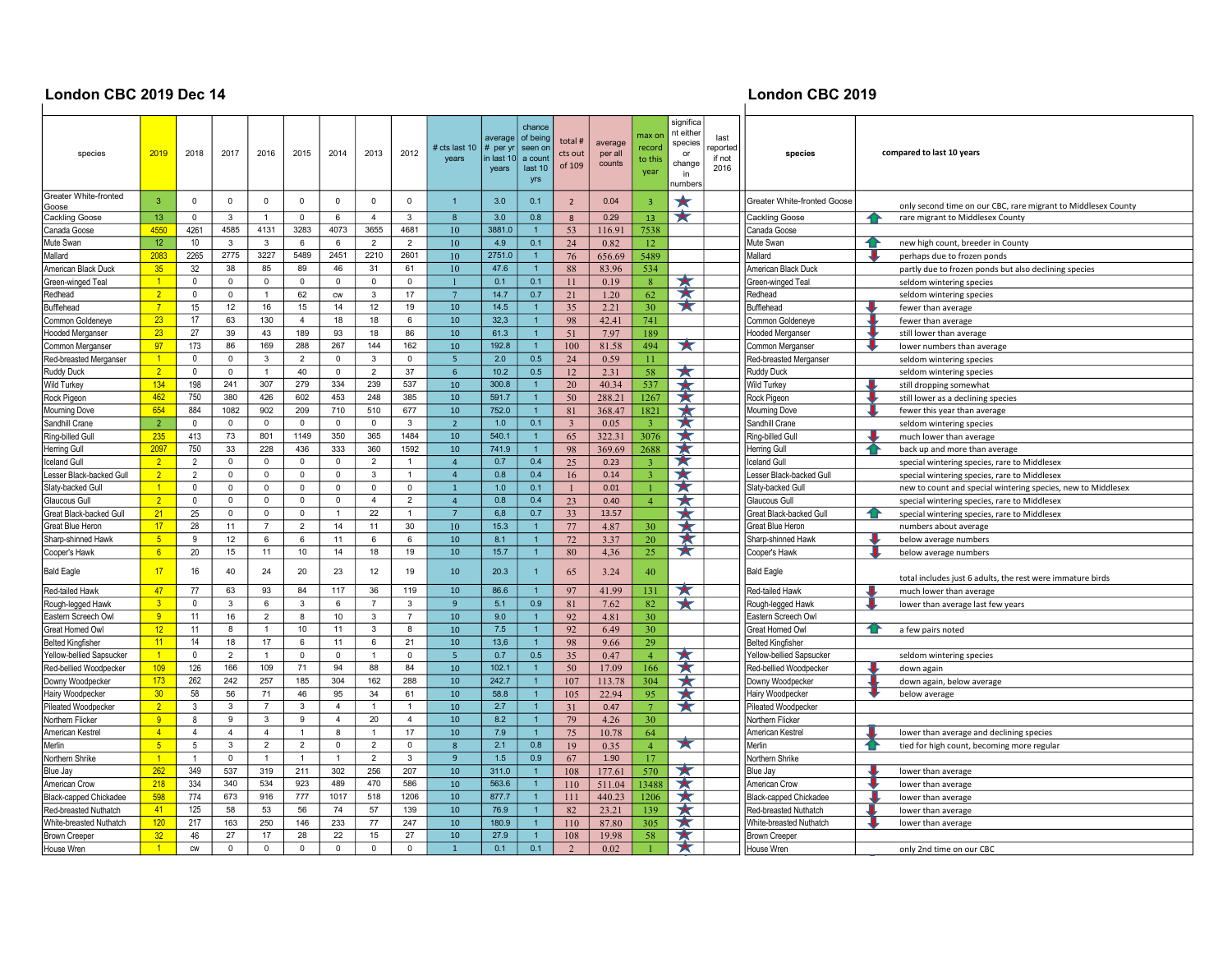## London CBC 2019 Dec 14 **London CBC 2019**<br>│

| species                        | 2019                 | 2018           | 2017           | 2016           | 2015            | 2014             | 2013           | 2012           | # cts last 10<br>years | average<br>$#$ per yr<br>in last 10<br>years | chance<br>of being<br>seen or<br>a count<br>last 10<br>yrs | total #<br>cts out<br>of 109 | average<br>per all<br>counts | max or<br>record<br>to this<br>year | significa<br>nt either<br>species<br>or<br>change<br>in<br>number | last<br>reported<br>if not<br>2016 | species                       | compared to last 10 years                                     |
|--------------------------------|----------------------|----------------|----------------|----------------|-----------------|------------------|----------------|----------------|------------------------|----------------------------------------------|------------------------------------------------------------|------------------------------|------------------------------|-------------------------------------|-------------------------------------------------------------------|------------------------------------|-------------------------------|---------------------------------------------------------------|
| Greater White-fronted<br>Goose | 3                    | $\Omega$       | $\mathbf 0$    | $\mathbf 0$    | $\Omega$        | $\mathbf 0$      | $\mathbf 0$    | $\Omega$       | $\overline{1}$         | 3.0                                          | 0.1                                                        | $\overline{2}$               | 0.04                         | $\overline{\mathbf{3}}$             | $\star$                                                           |                                    | Greater White-fronted Goose   | only second time on our CBC, rare migrant to Middlesex County |
| Cackling Goose                 | 13                   | $\Omega$       | 3              | $\overline{1}$ | $\Omega$        | 6                | $\overline{4}$ | 3              | $\mathbf{8}$           | 3.0                                          | 0.8                                                        | 8                            | 0.29                         | 13                                  | ⊻                                                                 |                                    | <b>Cackling Goose</b>         | rare migrant to Middlesex County<br>4                         |
| Canada Goose                   | 4550                 | 4261           | 4585           | 4131           | 3283            | 4073             | 3655           | 4681           | 10                     | 3881.0                                       |                                                            | 53                           | 116.91                       | 7538                                |                                                                   |                                    | Canada Goose                  |                                                               |
| Mute Swan                      | 12                   | 10             | $\mathbf{3}$   | $\mathbf{3}$   | 6               | 6                | $\overline{2}$ | $\overline{2}$ | 10                     | 4.9                                          | 0.1                                                        | 24                           | 0.82                         | 12                                  |                                                                   |                                    | Mute Swan                     | new high count, breeder in County                             |
| Mallard                        | 2083                 | 2265           | 2775           | 3227           | 5489            | 2451             | 2210           | 2601           | 10                     | 2751.0                                       | 1                                                          | 76                           | 656.69                       | 5489                                |                                                                   |                                    | Mallard                       | perhaps due to frozen ponds                                   |
| American Black Duck            | 35                   | 32             | 38             | 85             | 89              | 46               | 31             | 61             | 10                     | 47.6                                         | $\mathbf{1}$                                               | 88                           | 83.96                        | 534                                 |                                                                   |                                    | American Black Duck           | partly due to frozen ponds but also declining species         |
| Green-winged Teal              | $\vert$ 1            | $\mathbf{0}$   | $\overline{0}$ | $\mathbf 0$    | $\mathbf 0$     | $\mathbf 0$      | $\mathbf 0$    | $\mathbf 0$    |                        | 0.1                                          | 0.1                                                        | 11                           | 0.19                         | 8 <sup>°</sup>                      | ★                                                                 |                                    | Green-winged Teal             | seldom wintering species                                      |
| Redhead                        | $\overline{2}$       | $\mathbf{0}$   | $\mathsf 0$    | $\overline{1}$ | 62              | ${\sf\small CW}$ | $\mathbf{3}$   | 17             | $\overline{7}$         | 14.7                                         | 0.7                                                        | 21                           | 1.20                         | 62                                  | $\blacktriangleright$                                             |                                    | Redhead                       | seldom wintering species                                      |
| Bufflehead                     | $\overline{7}$       | 15             | 12             | 16             | 15              | 14               | 12             | 19             | 10                     | 14.5                                         | $\overline{1}$                                             | 35                           | 2.21                         | 30                                  | ★                                                                 |                                    | <b>Bufflehead</b>             | fewer than average                                            |
| Common Goldeneye               | 23                   | 17             | 63             | 130            | $\overline{4}$  | 18               | 18             | 6              | 10                     | 32,3                                         | $\overline{1}$                                             | 98                           | 42.41                        | 741                                 |                                                                   |                                    | Common Goldeneye              | fewer than average                                            |
| Hooded Merganser               | 23                   | 27             | 39             | 43             | 189             | 93               | 18             | 86             | 10                     | 61.3                                         | $\mathbf{1}$                                               | 51                           | 7.97                         | 189                                 |                                                                   |                                    | <b>Hooded Merganser</b>       | still lower than average                                      |
| Common Merganser               | 97                   | 173            | 86             | 169            | 288             | 267              | 144            | 162            | 10                     | 192.8                                        | $\mathbf{1}$                                               | 100                          | 81.58                        | 494                                 | ★                                                                 |                                    | Common Merganser              | lower numbers than average                                    |
| Red-breasted Merganser         | $\vert$ 1            | $\Omega$       | $\mathbf 0$    | 3              | $\overline{2}$  | $\mathsf 0$      | 3              | $\mathbf 0$    | $\overline{5}$         | 2.0                                          | 0.5                                                        | 24                           | 0.59                         | 11                                  |                                                                   |                                    | Red-breasted Merganser        | seldom wintering species                                      |
| Ruddy Duck                     | 2 <sup>2</sup>       | $\mathbf{0}$   | $\overline{0}$ | $\mathbf{1}$   | 40              | $\mathbf 0$      | $\overline{2}$ | 37             | 6                      | 10.2                                         | 0.5                                                        | 12                           | 2.31                         | 58                                  | ★                                                                 |                                    | Ruddy Duck                    | seldom wintering species                                      |
| <b>Wild Turkey</b>             | 134                  | 198            | 241            | 307            | 279             | 334              | 239            | 537            | 10                     | 300.8                                        | $\overline{1}$                                             | 20                           | 40.34                        | 537                                 |                                                                   |                                    | Wild Turkey                   | still dropping somewhat                                       |
| Rock Pigeon                    | 462                  | 750            | 380            | 426            | 602             | 453              | 248            | 385            | 10                     | 591.7                                        | $\mathbf{1}$                                               | 50                           | 288.21                       | 1267                                | $\blacktriangleright$                                             |                                    | Rock Pigeon                   | still lower as a declining species                            |
| Mourning Dove                  | 654                  | 884            | 1082           | 902            | 209             | 710              | 510            | 677            | 10                     | 752.0                                        | $\mathbf{1}$                                               | 81                           | 368.47                       | 1821                                | $\star$                                                           |                                    | Mourning Dove                 | fewer this year than average                                  |
| Sandhill Crane                 | $\overline{2}$       | $\Omega$       | $\mathbf 0$    | $\mathbf 0$    | $\mathbf 0$     | $\mathbf 0$      | $\mathbf 0$    | 3              | $\overline{2}$         | 1.0                                          | 0.1                                                        | $\overline{3}$               | 0.05                         | $\overline{3}$                      | ★                                                                 |                                    | Sandhill Crane                | seldom wintering species                                      |
| Ring-billed Gull               | 235                  | 413            | 73             | 801            | 1149            | 350              | 365            | 1484           | 10                     | 540.1                                        | $\mathbf{1}$                                               | 65                           | 322.31                       | 3076                                | ★                                                                 |                                    | Ring-billed Gul               | much lower than average                                       |
| <b>Herring Gull</b>            | 2097                 | 750            | 33             | 228            | 436             | 333              | 360            | 1592           | 10                     | 741.9                                        | $\overline{1}$                                             | 98                           | 369.69                       | 2688                                | ★                                                                 |                                    | <b>Herring Gull</b>           | back up and more than average                                 |
| Iceland Gull                   | 2 <sup>2</sup>       | 2              | $\mathbf 0$    | $\mathbf 0$    | $\Omega$        | $\mathbf 0$      | $\overline{2}$ | $\overline{1}$ | $\overline{4}$         | 0.7                                          | 0.4                                                        | 25                           | 0.23                         | $\overline{3}$                      | ★                                                                 |                                    | <b>Iceland Gull</b>           | special wintering species, rare to Middlesex                  |
| Lesser Black-backed Gull       | $\overline{2}$       | $\overline{2}$ | $\mathbf{0}$   | $\Omega$       | $\mathbf 0$     | $\mathbf 0$      | 3              |                | $\overline{4}$         | 0.8                                          | 0.4                                                        | 16                           | 0.14                         | $\overline{3}$                      | ★                                                                 |                                    | Lesser Black-backed Gull      | special wintering species, rare to Middlesex                  |
| Slaty-backed Gull              | $\blacktriangleleft$ | $\mathbf{0}$   | $\mathbf 0$    | $\mathbf 0$    | $\mathsf 0$     | $\mathbf 0$      | $\mathbf 0$    | $\mathbf 0$    | $\mathbf{1}$           | 1.0                                          | 0.1                                                        | $\overline{1}$               | 0.01                         | $\overline{1}$                      | ★                                                                 |                                    | Slaty-backed Gull             | new to count and special wintering species, new to Middlesex  |
| Glaucous Gull                  | $\overline{2}$       | $\mathbf{0}$   | $\mathbf 0$    | $\mathsf 0$    | $\mathbf 0$     | $\mathbf 0$      | $\overline{4}$ | $\overline{2}$ | $\overline{4}$         | 0.8                                          | 0.4                                                        | 23                           | 0.40                         | $\overline{4}$                      |                                                                   |                                    | Glaucous Gull                 | special wintering species, rare to Middlesex                  |
| Great Black-backed Gull        | 21                   | 25             | $\mathbf 0$    | $\mathbf 0$    | $\mathbf 0$     | $\overline{1}$   | 22             | $\overline{1}$ | $\overline{7}$         | 6,8                                          | 0.7                                                        | 33                           | 13.57                        |                                     |                                                                   |                                    | Great Black-backed Gull       | ≏<br>special wintering species, rare to Middlesex             |
| Great Blue Heron               | 17                   | 28             | 11             | $\overline{7}$ | $\overline{2}$  | 14               | 11             | 30             | 10                     | 15.3                                         | $\overline{1}$                                             | 77                           | 4.87                         | 30                                  | $\star$                                                           |                                    | Great Blue Heror              | numbers about average                                         |
| Sharp-shinned Hawk             | $\overline{5}$       | 9              | 12             | 6              | 6               | 11               | 6              | 6              | 10                     | 8.1                                          | $\overline{1}$                                             | 72                           | 3.37                         | 20                                  | ★                                                                 |                                    | Sharp-shinned Hawk            | below average numbers                                         |
| Cooper's Hawk                  | 6 <sup>1</sup>       | 20             | 15             | 11             | 10              | 14               | 18             | 19             | 10                     | 15.7                                         | $\mathbf{1}$                                               | 80                           | 4,36                         | 25                                  | ★                                                                 |                                    | Cooper's Hawk                 | below average numbers                                         |
| <b>Bald Eagle</b>              | 17                   | 16             | 40             | 24             | 20              | 23               | 12             | 19             | 10                     | 20.3                                         |                                                            | 65                           | 3.24                         | 40                                  |                                                                   |                                    | <b>Bald Eagle</b>             | total includes just 6 adults, the rest were immature birds    |
| Red-tailed Hawk                | 47                   | 77             | 63             | 93             | 84              | 117              | 36             | 119            | 10                     | 86.6                                         |                                                            | 97                           | 41.99                        | 131                                 | ★                                                                 |                                    | Red-tailed Hawk               | much lower than average                                       |
| Rough-legged Hawk              | 3 <sup>1</sup>       | $\Omega$       | 3              | 6              | 3               | 6                | $\overline{7}$ | 3              | 9                      | 5.1                                          | 0.9                                                        | 81                           | 7.62                         | 82                                  |                                                                   |                                    | Rough-legged Hawk             | lower than average last few years                             |
| Eastern Screech Owl            | 9                    | 11             | 16             | $\overline{2}$ | 8               | 10               | 3              | $\overline{7}$ | 10                     | 9.0                                          | $\overline{1}$                                             | 92                           | 4.81                         | 30                                  |                                                                   |                                    | Eastern Screech Owl           |                                                               |
| Great Horned Owl               | 12                   | 11             | 8              | $\mathbf{1}$   | 10 <sub>1</sub> | 11               | 3              | 8              | 10                     | 7.5                                          | $\mathbf{1}$                                               | 92                           | 6.49                         | 30                                  |                                                                   |                                    | Great Horned Owl              | a few pairs noted                                             |
| <b>Belted Kingfisher</b>       | 11                   | 14             | 18             | 17             | 6               | 11               | 6              | 21             | 10                     | 13,6                                         | $\mathbf{1}$                                               | 98                           | 9.66                         | 29                                  |                                                                   |                                    | <b>Belted Kingfisher</b>      |                                                               |
| Yellow-bellied Sapsucker       | $\overline{1}$       | $\mathbf{0}$   | $\overline{2}$ | $\mathbf{1}$   | $\mathbf 0$     | $\mathbf 0$      | $\overline{1}$ | $\mathbf 0$    | $\overline{5}$         | 0.7                                          | 0.5                                                        | 35                           | 0.47                         | $\overline{4}$                      | ×                                                                 |                                    | Yellow-bellied Sapsucker      | seldom wintering species                                      |
| Red-bellied Woodpecker         | 109                  | 126            | 166            | 109            | 71              | 94               | 88             | 84             | 10                     | 102.1                                        |                                                            | 50                           | 17.09                        | 166                                 | $\star$                                                           |                                    | Red-bellied Woodpecker        | down again                                                    |
| Downy Woodpecker               | 173                  | 262            | 242            | 257            | 185             | 304              | 162            | 288            | 10                     | 242.7                                        | $\mathbf{1}$                                               | 107                          | 113.78                       | 304                                 | $\star$                                                           |                                    | Downy Woodpecker              | down again, below average                                     |
| Hairy Woodpecker               | 30 <sub>2</sub>      | 58             | 56             | 71             | 46              | 95               | 34             | 61             | 10                     | 58.8                                         | $\mathbf{1}$                                               | 105                          | 22.94                        | 95                                  | $\star$                                                           |                                    | Hairy Woodpecker              | below average                                                 |
| Pileated Woodpecker            | $\overline{2}$       | 3              | 3              | $\overline{7}$ | 3               | $\overline{4}$   | $\overline{1}$ |                | 10                     | 2.7                                          | $\mathbf{1}$                                               | 31                           | 0.47                         | $7\phantom{.0}$                     | $\star$                                                           |                                    | Pileated Woodpecker           |                                                               |
| Northern Flicker               | 9                    | 8              | 9              | 3              | 9               | $\overline{4}$   | 20             | $\overline{4}$ | 10                     | 8.2                                          | $\overline{1}$                                             | 79                           | 4.26                         | 30                                  |                                                                   |                                    | Northern Flicker              |                                                               |
| American Kestrel               | $\overline{4}$       | $\overline{4}$ | $\overline{4}$ | $\overline{4}$ | $\overline{1}$  | 8                | $\overline{1}$ | 17             | 10                     | 7.9                                          | $\overline{1}$                                             | 75                           | 10.78                        | 64                                  |                                                                   |                                    | American Kestrel              | lower than average and declining species                      |
| Merlin                         | 5 <sup>5</sup>       | 5              | 3              | $\overline{2}$ | $\overline{2}$  | $\mathsf 0$      | $\overline{2}$ | $\mathbf 0$    | 8                      | 2.1                                          | 0.8                                                        | 19                           | 0.35                         | $\overline{4}$                      | ★                                                                 |                                    | Merlin                        | tied for high count, becoming more regular                    |
| Northern Shrike                | $\vert$ 1            |                | $\mathbf{0}$   | $\overline{1}$ | $\mathbf{1}$    | $\mathbf{1}$     | $\overline{2}$ | $\mathbf{3}$   | $\mathbf{q}$           | 1.5                                          | 0.9                                                        | 67                           | 1.90                         | 17                                  |                                                                   |                                    | Northern Shrike               |                                                               |
| Blue Jay                       | 262                  | 349            | 537            | 319            | 211             | 302              | 256            | 207            | 10                     | 311.0                                        | $\mathbf{1}$                                               | 108                          | 177.61                       | 570                                 | 大                                                                 |                                    | Blue Jay                      | lower than average                                            |
| American Crow                  | 218                  | 334            | 340            | 534            | 923             | 489              | 470            | 586            | 10                     | 563.6                                        | 1 <sup>1</sup>                                             | 110                          | 511.04                       | 13488                               | ★                                                                 |                                    | American Crow                 | lower than average                                            |
| Black-capped Chickadee         | 598                  | 774            | 673            | 916            | 777             | 1017             | 518            | 1206           | 10                     | 877.7                                        | $\mathbf{1}$                                               | 111                          | 440.23                       | 1206                                | ★                                                                 |                                    | <b>Black-capped Chickadee</b> | lower than average                                            |
| Red-breasted Nuthatch          | 41                   | 125            | 58             | 53             | 56              | 74               | 57             | 139            | 10                     | 76.9                                         |                                                            | 82                           | 23.21                        | 139                                 | 大                                                                 |                                    | Red-breasted Nuthatch         | lower than average                                            |
| White-breasted Nuthatch        | 120                  | 217            | 163            | 250            | 146             | 233              | 77             | 247            | 10                     | 180.9                                        |                                                            | 110                          | 87.80                        | 305                                 | ★                                                                 |                                    | White-breasted Nuthatch       | lower than average                                            |
| <b>Brown Creeper</b>           | 32                   | 46             | 27             | 17             | 28              | 22               | 15             | 27             | 10                     | 27.9                                         |                                                            | 108                          | 19.98                        | 58                                  | 大                                                                 |                                    | <b>Brown Creeper</b>          |                                                               |
| House Wren                     | $\overline{1}$       | cw             | $\mathbf 0$    | $\mathbf 0$    | $\mathbf 0$     | $\Omega$         | $\Omega$       | $\mathbf 0$    |                        | 0.1                                          | 0.1                                                        | $\overline{2}$               | 0.02                         |                                     | ★                                                                 |                                    | House Wren                    | only 2nd time on our CBC                                      |